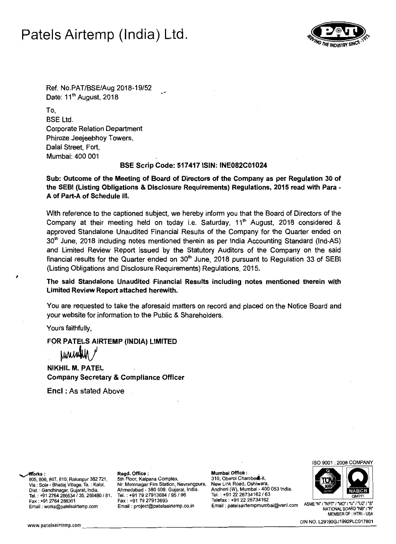# Patels Airtemp (India) Ltd.



Ref. No.PAT/BSE/Aug 2018-19/52 Date:  $11<sup>th</sup>$  August, 2018

To, BSE Ltd. Corporate Relation Department Phiroze Jeejeebhoy Towers, Dalal Street, Fort, Mumbai: 400 001

# BSE Scrip Code: 517417 ISIN: INE082C01024

Sub: Outcome of the Meeting of Board of Directors of the Company as per Regulation 30 of the SEBI (listing Obligations & Disclosure Requirements) Regulations, 2015 read with Para A of Part-A of Schedule III.

With reference to the captioned subject, we hereby inform you that the Board of Directors of the Company at their meeting held on today i.e. Saturday,  $11<sup>th</sup>$  August, 2018 considered & approved Standalone Unaudited Financial Results of the Company for the Quarter ended on 30<sup>th</sup> June, 2018 including notes mentioned therein as per India Accounting Standard (Ind-AS) and Limited Review Report issued by the Statutory Auditors of the Company on the said financial results for the Quarter ended on  $30<sup>th</sup>$  June, 2018 pursuant to Regulation 33 of SEBI (Listing Obligations and Disclosure Requirements) Regulations, 2015.

The said Standalone Unaudited Financial Results including notes mentioned therein with Limited Review Report attached herewith.

You are requested to take the aforesaid matters on record and placed on the Notice Board and your website for information to the Public & Shareholders.

Yours faithfully,

FOR PATELS AIRTEMP (INDIA) LIMITED<br>  $\begin{array}{cc} \hbox{WWW} \end{array}$ 

NIKHIL M. PATEL Company Secretary & Compliance Officer

Enel : As stated Above

Fax: +91 2764 286301 Fax: +91 79 27913693<br>Email: works@patelsairtemp.com Email: project@patelsairtemp.co.in

805, 806, 807, 810, Rakanpur 382 721, 5th Floor, Kalpana Complex, 310, Oberoi Chambers-II, Via : Sola - Bhadaj Village, Ta. : Kalol, N. Memnagar Fire Station, Navrangpura, New Link Road, Oshiwara, Via: Sola - Bhadaj Village, Ta. : Kalol. Nr. Memnagar Fire Station, Navrangpura.<br>Dist. : Gandhinagar, Gujarat, India. Ahmedabad - 380 009. Gujarat, India. Tel. : +91 2764 286634 / 35, 286480 / 81, Tel. : +91 79 27913694 / 95 / 96 Tel. : +91 22 26734162 / 63<br>Fax : +91 79 27913693 Telefax : +91 22 26734162

~orks: . Regd. Office: Mumbai Officlt : . Andheri (W), Mumbai - 400 053 India.<br>Tel. : +91 22 26734162 / 63 ASME "N' "NPT' ' "MO" !'U' !'U2" !'S" Email: patelsairtempmumbai@vsnl.com ASME "N" /"NPT' /"MO" /"U" /"Q" / 'S<br>"NATiONAL BOARD 'NB' /'R

ISO 9001 : 2008 COMPANY



MEMBER OF : HTRI •USA CIN NO. L29190GJ1992PLC017801<br>WEMBER OF : HTRI - USA<br>CIN NO. L29190GJ1992PLC017801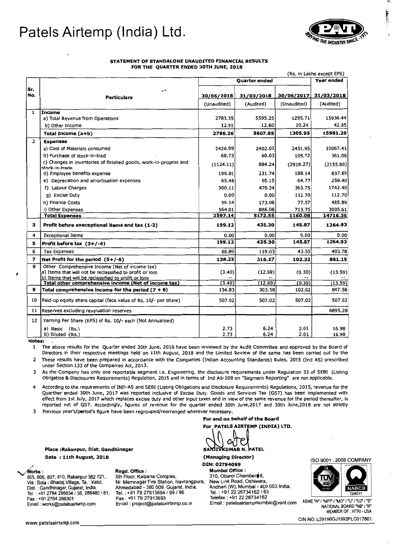# **Patels Airtemp (India) Ltd.**



### STATEMENT OF STANDALONE UNAUDITED FINANCIAL RESULTS FOR THE QUARTER ENDED 30TH JUNE, 2018

|                | (Rs. in Lakhs except EPS)                                                                                    |             |               |             |            |
|----------------|--------------------------------------------------------------------------------------------------------------|-------------|---------------|-------------|------------|
| Sr.<br>No.     |                                                                                                              |             | Quarter ended |             | Year ended |
|                | ٠÷<br><b>Particulars</b>                                                                                     | 30/06/2018  | 31/03/2018    | 30/06/2017  | 31/03/2018 |
|                |                                                                                                              | (Unaudited) | (Audited)     | (Unaudited) | (Audited)  |
| $\mathbf{1}$   | Income                                                                                                       |             |               |             |            |
|                | a) Total Revenue from Operations                                                                             | 2783.35     | 5595.25       | 1295.71     | 15938.44   |
|                | b) Other Income                                                                                              | 12.91       | 12.60         | 10.24       | 42.85      |
|                | Total Income (a+b)                                                                                           | 2796.26     | 5607.85       | 1305.95     | 15981.29   |
| $\overline{2}$ | <b>Expenses</b>                                                                                              |             |               |             |            |
|                | a) Cost of Materials consumed                                                                                | 2426.99     | 2402.03       | 2451.95     | 10067.41   |
|                | b) Purchase of stock-in-trad                                                                                 | 68.73       | 60.03         | 105.72      | 361.06     |
|                | c) Changes in inventories of finished goods, work-in-progess and<br>stock-in-trade                           | (1124.11)   | 884.24        | (2918.27)   | (2155.80)  |
|                | d) Employee benefits expense                                                                                 | 196.81      | 231.74        | 188.14      | 837.69     |
|                | e) Depreciation and amortisation expenses                                                                    | 65.46       | 65.15         | 64.77       | 259.40     |
|                | f) Labour Charges                                                                                            | 300.11      | 470.24        | 363.75      | 1742.40    |
|                | g) Excise'Duty                                                                                               | 0.00        | 0.00          | 112.70      | 112.70     |
|                | h) Finance Costs                                                                                             | 99.14       | 173.06        | 77.57       | 485.89     |
|                | i) Other Expenses                                                                                            | 564.01      | 886.06        | 713.75      | 3005.61    |
|                | <b>Total Expenses</b>                                                                                        | 2597.14     | 5172.55       | 1160.08     | 14716.36   |
| з              | Profit before execeptional items and tax (1-2)                                                               | 199.12      | 435.30        | 145.87      | 1264.93    |
| 4              | <b>Exceptional Items</b>                                                                                     | 0.00        | 0.00          | 0.00        | 0.00       |
| 5              | Profit before tax $(3+/-4)$                                                                                  | 199.12      | 435.30        | 145.87      | 1264.93    |
| 6              | <b>Tax Expenses</b>                                                                                          | 60.89       | 119.03        | 43.55       | 403.78     |
| $\overline{z}$ | Net Profit for the period $(5+/-6)$                                                                          | 138.23      | 316.27        | 102.32      | 861.15     |
| 8              | Other Comprehensive Income (Net of income tax)<br>a) Items that will not be reclassified to profit or loss   | (3.40)      | (12.69)       | (0.30)      | (13.59)    |
|                | b) Items that will be reclassified to profit or loss<br>Total other comprehensive income (Net of income tax) | (3.40)      | (12.69)       | (0.30)      | (13.59)    |
| 9              | Total comprehensive income for the period $(7 + 8)$                                                          | 134.83      | 303.58        | 102.02      | 847.56     |
| 10             | Paid-up equity share capital (face value of Rs. 10/- per share)                                              | 507.02      | 507.02        | 507.02      | 507.02     |
| 11             | Reserves excluding revaluation reserves                                                                      |             |               |             | 6895.28    |
| 12             | Earning Per Share (EPS) of Rs. 10/- each (Not Annualised)                                                    |             |               |             |            |
|                | a) Basic (Rs.)                                                                                               | 2.73        | 6.24          | 2.01        | 16.98      |
|                | b) Diluted (Rs.)                                                                                             | 2.73        | 6.24          | 2.01        | 16.98      |

Notes:

1 The above results for the Quarter ended 30th June, 2018 have been reviewed by the Audit Committee and approved by the Board of Directors in their respective meetings held on 11th August, 2018 and the Limited Review of the same has been carried out by the

2 These results have been prepared in accordance with the Companies (Indian Accounting Standards) Rules, 2015 (Ind AS) prescribed under Section 133 of the Companies Act,.2013.

3 As the Company has only one reportable segment i.e. Engineering, the disclosure requirements under Regulation 33 of SEBI (Listing Obligatios & Disclosures Requirements) Regulation, 2015 and in terms of Ind AS-I08 on "Segment Reporting" are not applicable.

According to the requirements of IND-AS and SEBI (Listing Obligations and Disclosure Requirements) Regulations, 2015, revenue for the Quarther ended 30th June, 2017 was reported inclusive of Excise Duty. Goods and Services Tax (GST) has been implemented with effect from 1st July, 2017 which replaces excise duty and other input taxes and in view of the same revenue for the period thereafter, is reported net of GST. Accordingly, figures of revenue for the quarter ended 30th June,2017 and 30th June,2018 are not strictly

5 Previous year's/period's figure have been regrouped/rearranged wherever necessary.

Place :Rakanpur, Dist:

Date : 11th August, 2018 

805, 806, 807, 810, Rakanpur 382 721,<br>Via : Sola - Bhadaj Village, Ta. : Kalol, Tel. : +91 2764 286634 / 35, 286480 / 81, Tel. : +91 79 27913694 / 95 / 96 Tel. : +91 22 26734162 / 63<br>Fax : +91 79 27913693 Telefax : +91 22 26734162<br>Email : works@patelsairtemp.com Email : project@patelsairtemp.co.in Em

Via : Sola - Bhadaj Village, Ta. : Kalol, Nr. Memnagar Fire Station, Navrangpura,<br>Dist. : Gandhinagar, Gujarat, India. Ahmedabad - 380 009. Gujarat, India. Dis!. : Gandhinagar, Gujarat, India. Ahmedabad - 380 009. Gujarat, India. Andheri (W), Mumbai 400 053 India. Tel. : +91 2764 *286634/35,* 286480 /81, Tel. : +91 *7927913694195/96* Tel. : +91 *2226734162/63* 

PATELS AIRTEMP (INDIA) LTD. SANJIVKUMAR N. PATEL

For and on behalf of the Board

(Managing Director) DIN: 02794095

~rkS: Regd. Office : Mumbai Office : " New Link Road, Oshiwara, Andheri (W), Mumbai - 400 053 India.<br>Tel. : +91 22 26734162 / 63

ISO 9001 : 2008 COMPANY



ASME 'N' /''U'/''U'/''U'/''2' /'S' Email: patelsairtempmumbai@vsnl.com ASME 'N' /'NPT' / 'MO' / 'U'/' 'U'<br>"NATIONAL BOARD 'NB' /'R MEMBER OF : HTRI- USA www.patelsairtemp.com \_\_\_\_\_\_\_\_\_\_\_\_\_\_\_\_\_\_\_\_\_\_\_\_\_\_\_\_\_\_\_\_\_\_\_\_\_\_\_\_\_\_\_\_\_\_ CIN NO. L29190GJ1992PLC017801\_